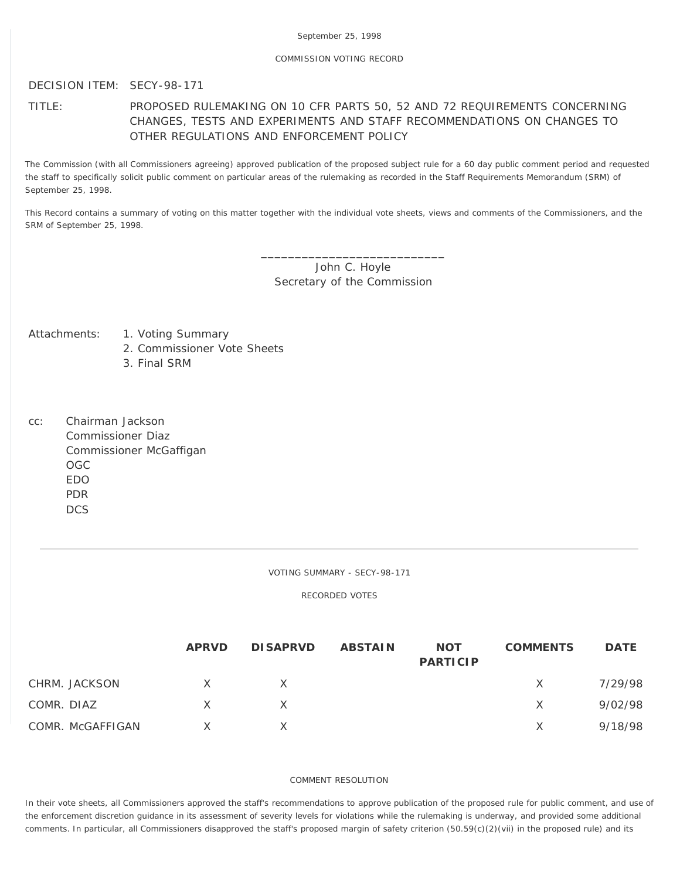### COMMISSION VOTING RECORD

## DECISION ITEM: SECY-98-171

# TITLE: PROPOSED RULEMAKING ON 10 CFR PARTS 50, 52 AND 72 REQUIREMENTS CONCERNING CHANGES, TESTS AND EXPERIMENTS AND STAFF RECOMMENDATIONS ON CHANGES TO OTHER REGULATIONS AND ENFORCEMENT POLICY

The Commission (with all Commissioners agreeing) approved publication of the proposed subject rule for a 60 day public comment period and requested the staff to specifically solicit public comment on particular areas of the rulemaking as recorded in the Staff Requirements Memorandum (SRM) of September 25, 1998.

This Record contains a summary of voting on this matter together with the individual vote sheets, views and comments of the Commissioners, and the SRM of September 25, 1998.

> \_\_\_\_\_\_\_\_\_\_\_\_\_\_\_\_\_\_\_\_\_\_\_\_\_\_\_ John C. Hoyle Secretary of the Commission

- Attachments: 1. Voting Summary
	- 2. Commissioner Vote Sheets
	- 3. Final SRM
- cc: Chairman Jackson Commissioner Diaz Commissioner McGaffigan OGC EDO PDR **DCS**

#### VOTING SUMMARY - SECY-98-171

RECORDED VOTES

|                  | <b>APRVD</b> | <b>DISAPRVD</b> | <b>ABSTAIN</b> | <b>NOT</b><br><b>PARTICIP</b> | <b>COMMENTS</b> | <b>DATE</b> |
|------------------|--------------|-----------------|----------------|-------------------------------|-----------------|-------------|
| CHRM. JACKSON    | $\mathsf{X}$ | X.              |                |                               | X.              | 7/29/98     |
| COMR. DIAZ       | $\times$     | X.              |                |                               | X.              | 9/02/98     |
| COMR. McGAFFIGAN | $\times$     |                 |                |                               | X.              | 9/18/98     |

### COMMENT RESOLUTION

In their vote sheets, all Commissioners approved the staff's recommendations to approve publication of the proposed rule for public comment, and use of the enforcement discretion guidance in its assessment of severity levels for violations while the rulemaking is underway, and provided some additional comments. In particular, all Commissioners disapproved the staff's proposed margin of safety criterion (50.59(c)(2)(vii) in the proposed rule) and its